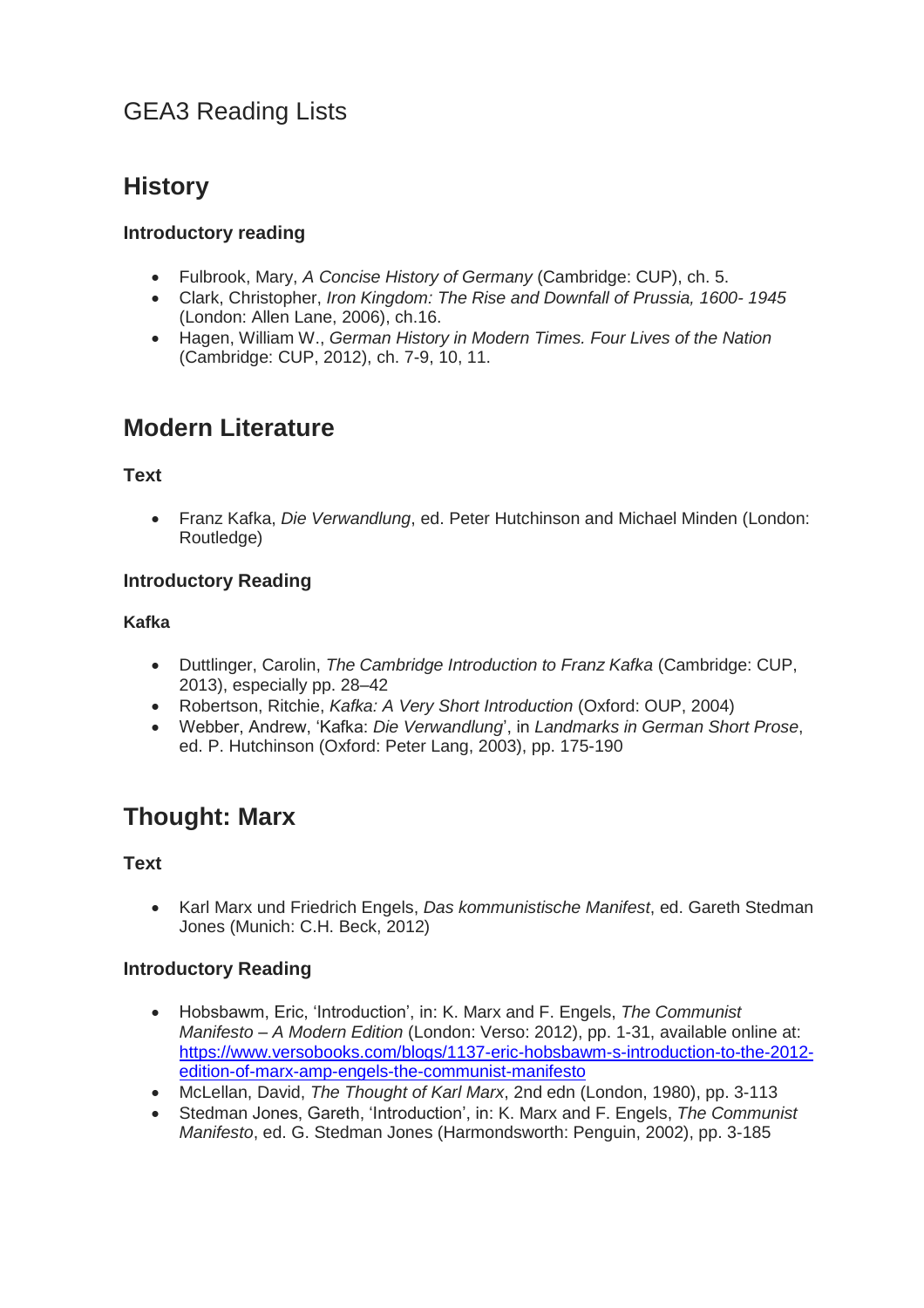# GEA3 Reading Lists

# **History**

#### **Introductory reading**

- Fulbrook, Mary, *A Concise History of Germany* (Cambridge: CUP), ch. 5.
- Clark, Christopher, *Iron Kingdom: The Rise and Downfall of Prussia, 1600- 1945*  (London: Allen Lane, 2006), ch.16.
- Hagen, William W., *German History in Modern Times. Four Lives of the Nation* (Cambridge: CUP, 2012), ch. 7-9, 10, 11.

## **Modern Literature**

#### **Text**

 Franz Kafka, *Die Verwandlung*, ed. Peter Hutchinson and Michael Minden (London: Routledge)

#### **Introductory Reading**

#### **Kafka**

- Duttlinger, Carolin, *The Cambridge Introduction to Franz Kafka* (Cambridge: CUP, 2013), especially pp. 28–42
- Robertson, Ritchie, *Kafka: A Very Short Introduction* (Oxford: OUP, 2004)
- Webber, Andrew, 'Kafka: *Die Verwandlung*', in *Landmarks in German Short Prose*, ed. P. Hutchinson (Oxford: Peter Lang, 2003), pp. 175-190

## **Thought: Marx**

#### **Text**

 Karl Marx und Friedrich Engels, *Das kommunistische Manifest*, ed. Gareth Stedman Jones (Munich: C.H. Beck, 2012)

#### **Introductory Reading**

- Hobsbawm, Eric, 'Introduction', in: K. Marx and F. Engels, *The Communist Manifesto – A Modern Edition* (London: Verso: 2012), pp. 1-31, available online at: [https://www.versobooks.com/blogs/1137-eric-hobsbawm-s-introduction-to-the-2012](https://www.versobooks.com/blogs/1137-eric-hobsbawm-s-introduction-to-the-2012-edition-of-marx-amp-engels-the-communist-manifesto) [edition-of-marx-amp-engels-the-communist-manifesto](https://www.versobooks.com/blogs/1137-eric-hobsbawm-s-introduction-to-the-2012-edition-of-marx-amp-engels-the-communist-manifesto)
- McLellan, David, *The Thought of Karl Marx*, 2nd edn (London, 1980), pp. 3-113
- Stedman Jones, Gareth, 'Introduction', in: K. Marx and F. Engels, *The Communist Manifesto*, ed. G. Stedman Jones (Harmondsworth: Penguin, 2002), pp. 3-185